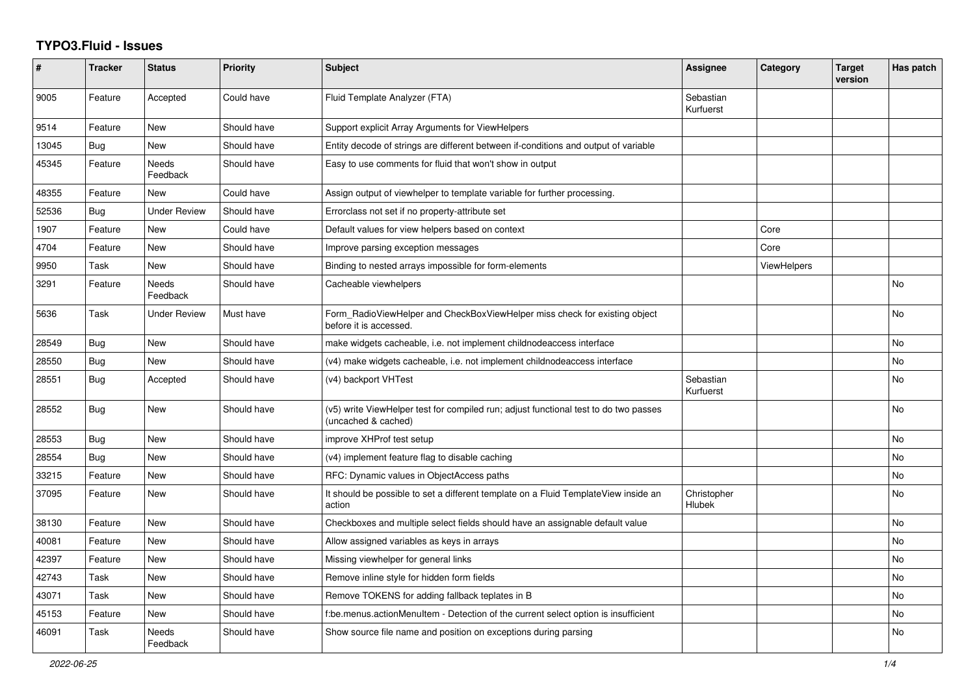## **TYPO3.Fluid - Issues**

| #     | <b>Tracker</b> | <b>Status</b>       | <b>Priority</b> | <b>Subject</b>                                                                                              | Assignee               | Category           | <b>Target</b><br>version | Has patch |
|-------|----------------|---------------------|-----------------|-------------------------------------------------------------------------------------------------------------|------------------------|--------------------|--------------------------|-----------|
| 9005  | Feature        | Accepted            | Could have      | Fluid Template Analyzer (FTA)                                                                               | Sebastian<br>Kurfuerst |                    |                          |           |
| 9514  | Feature        | <b>New</b>          | Should have     | Support explicit Array Arguments for ViewHelpers                                                            |                        |                    |                          |           |
| 13045 | Bug            | New                 | Should have     | Entity decode of strings are different between if-conditions and output of variable                         |                        |                    |                          |           |
| 45345 | Feature        | Needs<br>Feedback   | Should have     | Easy to use comments for fluid that won't show in output                                                    |                        |                    |                          |           |
| 48355 | Feature        | <b>New</b>          | Could have      | Assign output of viewhelper to template variable for further processing.                                    |                        |                    |                          |           |
| 52536 | Bug            | <b>Under Review</b> | Should have     | Errorclass not set if no property-attribute set                                                             |                        |                    |                          |           |
| 1907  | Feature        | New                 | Could have      | Default values for view helpers based on context                                                            |                        | Core               |                          |           |
| 4704  | Feature        | New                 | Should have     | Improve parsing exception messages                                                                          |                        | Core               |                          |           |
| 9950  | Task           | New                 | Should have     | Binding to nested arrays impossible for form-elements                                                       |                        | <b>ViewHelpers</b> |                          |           |
| 3291  | Feature        | Needs<br>Feedback   | Should have     | Cacheable viewhelpers                                                                                       |                        |                    |                          | <b>No</b> |
| 5636  | Task           | <b>Under Review</b> | Must have       | Form_RadioViewHelper and CheckBoxViewHelper miss check for existing object<br>before it is accessed.        |                        |                    |                          | <b>No</b> |
| 28549 | Bug            | New                 | Should have     | make widgets cacheable, i.e. not implement childnodeaccess interface                                        |                        |                    |                          | No        |
| 28550 | Bug            | New                 | Should have     | (v4) make widgets cacheable, i.e. not implement childnodeaccess interface                                   |                        |                    |                          | <b>No</b> |
| 28551 | <b>Bug</b>     | Accepted            | Should have     | (v4) backport VHTest                                                                                        | Sebastian<br>Kurfuerst |                    |                          | No        |
| 28552 | <b>Bug</b>     | New                 | Should have     | (v5) write ViewHelper test for compiled run; adjust functional test to do two passes<br>(uncached & cached) |                        |                    |                          | <b>No</b> |
| 28553 | <b>Bug</b>     | <b>New</b>          | Should have     | improve XHProf test setup                                                                                   |                        |                    |                          | <b>No</b> |
| 28554 | Bug            | New                 | Should have     | (v4) implement feature flag to disable caching                                                              |                        |                    |                          | <b>No</b> |
| 33215 | Feature        | <b>New</b>          | Should have     | RFC: Dynamic values in ObjectAccess paths                                                                   |                        |                    |                          | <b>No</b> |
| 37095 | Feature        | <b>New</b>          | Should have     | It should be possible to set a different template on a Fluid TemplateView inside an<br>action               | Christopher<br>Hlubek  |                    |                          | <b>No</b> |
| 38130 | Feature        | New                 | Should have     | Checkboxes and multiple select fields should have an assignable default value                               |                        |                    |                          | <b>No</b> |
| 40081 | Feature        | New                 | Should have     | Allow assigned variables as keys in arrays                                                                  |                        |                    |                          | No        |
| 42397 | Feature        | New                 | Should have     | Missing viewhelper for general links                                                                        |                        |                    |                          | No        |
| 42743 | Task           | New                 | Should have     | Remove inline style for hidden form fields                                                                  |                        |                    |                          | No        |
| 43071 | Task           | New                 | Should have     | Remove TOKENS for adding fallback teplates in B                                                             |                        |                    |                          | No        |
| 45153 | Feature        | New                 | Should have     | f:be.menus.actionMenuItem - Detection of the current select option is insufficient                          |                        |                    |                          | No        |
| 46091 | Task           | Needs<br>Feedback   | Should have     | Show source file name and position on exceptions during parsing                                             |                        |                    |                          | No        |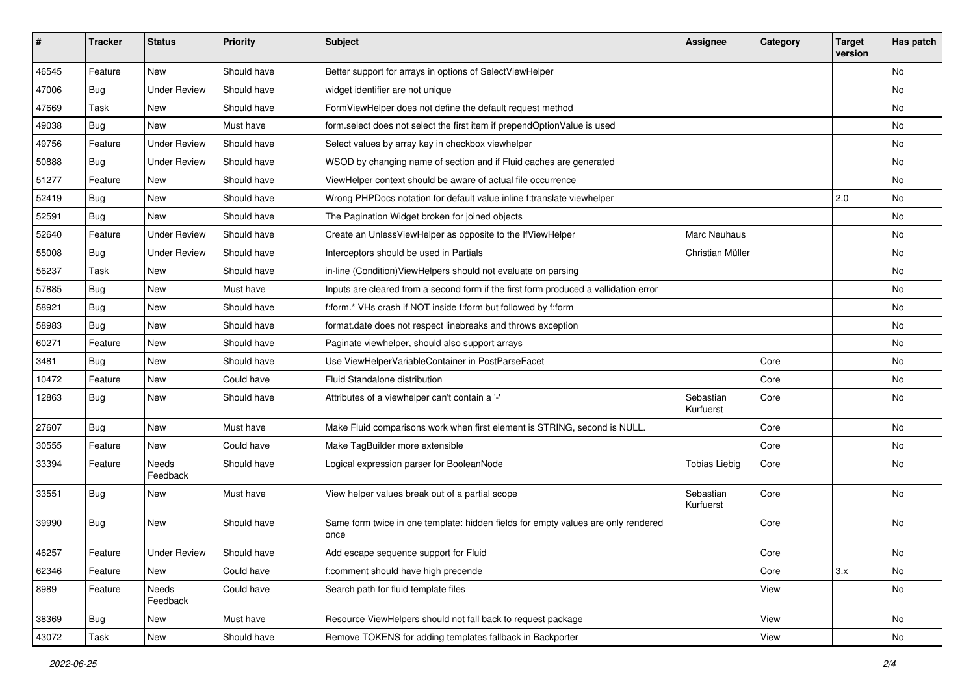| #     | <b>Tracker</b> | <b>Status</b>       | <b>Priority</b> | Subject                                                                                   | <b>Assignee</b>        | Category | <b>Target</b><br>version | Has patch |
|-------|----------------|---------------------|-----------------|-------------------------------------------------------------------------------------------|------------------------|----------|--------------------------|-----------|
| 46545 | Feature        | New                 | Should have     | Better support for arrays in options of SelectViewHelper                                  |                        |          |                          | No        |
| 47006 | Bug            | <b>Under Review</b> | Should have     | widget identifier are not unique                                                          |                        |          |                          | No        |
| 47669 | Task           | New                 | Should have     | FormViewHelper does not define the default request method                                 |                        |          |                          | No        |
| 49038 | Bug            | <b>New</b>          | Must have       | form.select does not select the first item if prependOptionValue is used                  |                        |          |                          | No        |
| 49756 | Feature        | <b>Under Review</b> | Should have     | Select values by array key in checkbox viewhelper                                         |                        |          |                          | No        |
| 50888 | Bug            | <b>Under Review</b> | Should have     | WSOD by changing name of section and if Fluid caches are generated                        |                        |          |                          | No        |
| 51277 | Feature        | New                 | Should have     | ViewHelper context should be aware of actual file occurrence                              |                        |          |                          | No        |
| 52419 | Bug            | New                 | Should have     | Wrong PHPDocs notation for default value inline f:translate viewhelper                    |                        |          | 2.0                      | No        |
| 52591 | Bug            | <b>New</b>          | Should have     | The Pagination Widget broken for joined objects                                           |                        |          |                          | No        |
| 52640 | Feature        | <b>Under Review</b> | Should have     | Create an UnlessViewHelper as opposite to the IfViewHelper                                | Marc Neuhaus           |          |                          | No        |
| 55008 | Bug            | <b>Under Review</b> | Should have     | Interceptors should be used in Partials                                                   | Christian Müller       |          |                          | No        |
| 56237 | Task           | New                 | Should have     | in-line (Condition) View Helpers should not evaluate on parsing                           |                        |          |                          | No        |
| 57885 | Bug            | New                 | Must have       | Inputs are cleared from a second form if the first form produced a vallidation error      |                        |          |                          | No        |
| 58921 | Bug            | <b>New</b>          | Should have     | f:form.* VHs crash if NOT inside f:form but followed by f:form                            |                        |          |                          | No        |
| 58983 | Bug            | New                 | Should have     | format.date does not respect linebreaks and throws exception                              |                        |          |                          | No        |
| 60271 | Feature        | New                 | Should have     | Paginate viewhelper, should also support arrays                                           |                        |          |                          | No        |
| 3481  | Bug            | New                 | Should have     | Use ViewHelperVariableContainer in PostParseFacet                                         |                        | Core     |                          | No        |
| 10472 | Feature        | New                 | Could have      | Fluid Standalone distribution                                                             |                        | Core     |                          | No        |
| 12863 | Bug            | New                 | Should have     | Attributes of a viewhelper can't contain a '-'                                            | Sebastian<br>Kurfuerst | Core     |                          | No        |
| 27607 | Bug            | New                 | Must have       | Make Fluid comparisons work when first element is STRING, second is NULL.                 |                        | Core     |                          | No        |
| 30555 | Feature        | New                 | Could have      | Make TagBuilder more extensible                                                           |                        | Core     |                          | No        |
| 33394 | Feature        | Needs<br>Feedback   | Should have     | Logical expression parser for BooleanNode                                                 | <b>Tobias Liebig</b>   | Core     |                          | No        |
| 33551 | Bug            | New                 | Must have       | View helper values break out of a partial scope                                           | Sebastian<br>Kurfuerst | Core     |                          | No        |
| 39990 | Bug            | <b>New</b>          | Should have     | Same form twice in one template: hidden fields for empty values are only rendered<br>once |                        | Core     |                          | <b>No</b> |
| 46257 | Feature        | <b>Under Review</b> | Should have     | Add escape sequence support for Fluid                                                     |                        | Core     |                          | NO.       |
| 62346 | Feature        | New                 | Could have      | f:comment should have high precende                                                       |                        | Core     | 3.x                      | No        |
| 8989  | Feature        | Needs<br>Feedback   | Could have      | Search path for fluid template files                                                      |                        | View     |                          | No        |
| 38369 | <b>Bug</b>     | New                 | Must have       | Resource ViewHelpers should not fall back to request package                              |                        | View     |                          | No        |
| 43072 | Task           | New                 | Should have     | Remove TOKENS for adding templates fallback in Backporter                                 |                        | View     |                          | No        |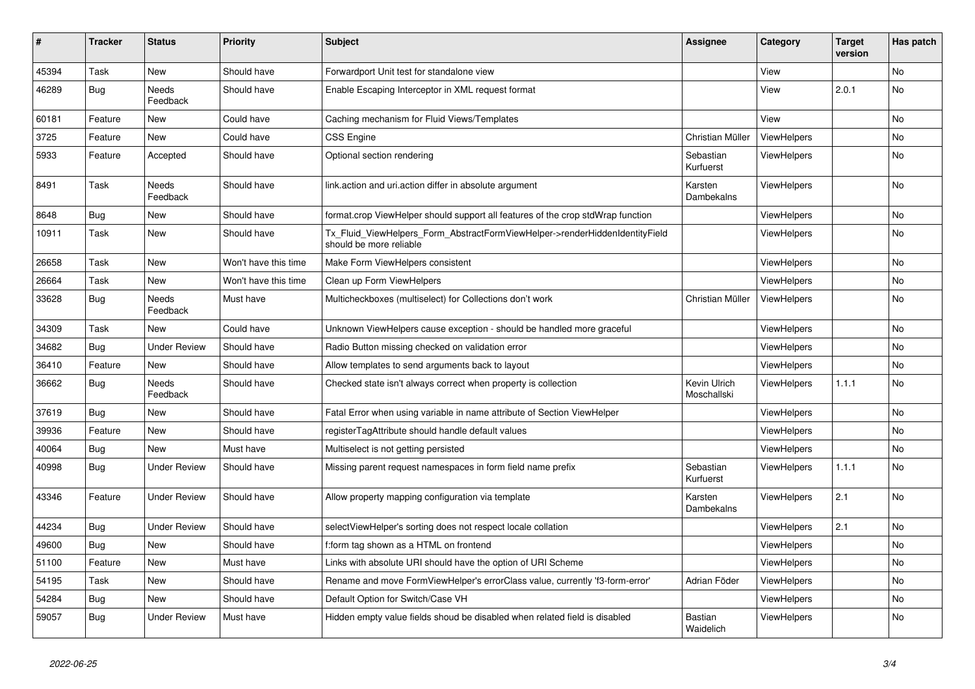| #     | <b>Tracker</b> | <b>Status</b>       | <b>Priority</b>      | <b>Subject</b>                                                                                         | <b>Assignee</b>             | Category           | <b>Target</b><br>version | Has patch      |
|-------|----------------|---------------------|----------------------|--------------------------------------------------------------------------------------------------------|-----------------------------|--------------------|--------------------------|----------------|
| 45394 | Task           | New                 | Should have          | Forwardport Unit test for standalone view                                                              |                             | View               |                          | No             |
| 46289 | <b>Bug</b>     | Needs<br>Feedback   | Should have          | Enable Escaping Interceptor in XML request format                                                      |                             | View               | 2.0.1                    | <b>No</b>      |
| 60181 | Feature        | New                 | Could have           | Caching mechanism for Fluid Views/Templates                                                            |                             | View               |                          | No             |
| 3725  | Feature        | New                 | Could have           | <b>CSS Engine</b>                                                                                      | Christian Müller            | ViewHelpers        |                          | No             |
| 5933  | Feature        | Accepted            | Should have          | Optional section rendering                                                                             | Sebastian<br>Kurfuerst      | ViewHelpers        |                          | No             |
| 8491  | Task           | Needs<br>Feedback   | Should have          | link.action and uri.action differ in absolute argument                                                 | Karsten<br>Dambekalns       | ViewHelpers        |                          | <b>No</b>      |
| 8648  | <b>Bug</b>     | New                 | Should have          | format.crop ViewHelper should support all features of the crop stdWrap function                        |                             | ViewHelpers        |                          | <b>No</b>      |
| 10911 | Task           | New                 | Should have          | Tx_Fluid_ViewHelpers_Form_AbstractFormViewHelper->renderHiddenIdentityField<br>should be more reliable |                             | <b>ViewHelpers</b> |                          | <b>No</b>      |
| 26658 | Task           | New                 | Won't have this time | Make Form ViewHelpers consistent                                                                       |                             | ViewHelpers        |                          | No             |
| 26664 | Task           | New                 | Won't have this time | Clean up Form ViewHelpers                                                                              |                             | <b>ViewHelpers</b> |                          | No             |
| 33628 | Bug            | Needs<br>Feedback   | Must have            | Multicheckboxes (multiselect) for Collections don't work                                               | Christian Müller            | <b>ViewHelpers</b> |                          | No             |
| 34309 | Task           | New                 | Could have           | Unknown ViewHelpers cause exception - should be handled more graceful                                  |                             | <b>ViewHelpers</b> |                          | No             |
| 34682 | <b>Bug</b>     | <b>Under Review</b> | Should have          | Radio Button missing checked on validation error                                                       |                             | ViewHelpers        |                          | <b>No</b>      |
| 36410 | Feature        | New                 | Should have          | Allow templates to send arguments back to layout                                                       |                             | ViewHelpers        |                          | N <sub>o</sub> |
| 36662 | Bug            | Needs<br>Feedback   | Should have          | Checked state isn't always correct when property is collection                                         | Kevin Ulrich<br>Moschallski | <b>ViewHelpers</b> | 1.1.1                    | <b>No</b>      |
| 37619 | <b>Bug</b>     | New                 | Should have          | Fatal Error when using variable in name attribute of Section ViewHelper                                |                             | ViewHelpers        |                          | <b>No</b>      |
| 39936 | Feature        | <b>New</b>          | Should have          | registerTagAttribute should handle default values                                                      |                             | ViewHelpers        |                          | <b>No</b>      |
| 40064 | <b>Bug</b>     | New                 | Must have            | Multiselect is not getting persisted                                                                   |                             | ViewHelpers        |                          | <b>No</b>      |
| 40998 | <b>Bug</b>     | <b>Under Review</b> | Should have          | Missing parent request namespaces in form field name prefix                                            | Sebastian<br>Kurfuerst      | ViewHelpers        | 1.1.1                    | <b>No</b>      |
| 43346 | Feature        | <b>Under Review</b> | Should have          | Allow property mapping configuration via template                                                      | Karsten<br>Dambekalns       | <b>ViewHelpers</b> | 2.1                      | <b>No</b>      |
| 44234 | Bug            | <b>Under Review</b> | Should have          | selectViewHelper's sorting does not respect locale collation                                           |                             | <b>ViewHelpers</b> | 2.1                      | <b>No</b>      |
| 49600 | Bug            | New                 | Should have          | f:form tag shown as a HTML on frontend                                                                 |                             | ViewHelpers        |                          | No             |
| 51100 | Feature        | New                 | Must have            | Links with absolute URI should have the option of URI Scheme                                           |                             | ViewHelpers        |                          | No             |
| 54195 | Task           | New                 | Should have          | Rename and move FormViewHelper's errorClass value, currently 'f3-form-error'                           | Adrian Föder                | ViewHelpers        |                          | No             |
| 54284 | Bug            | New                 | Should have          | Default Option for Switch/Case VH                                                                      |                             | ViewHelpers        |                          | <b>No</b>      |
| 59057 | Bug            | Under Review        | Must have            | Hidden empty value fields shoud be disabled when related field is disabled                             | Bastian<br>Waidelich        | ViewHelpers        |                          | No             |